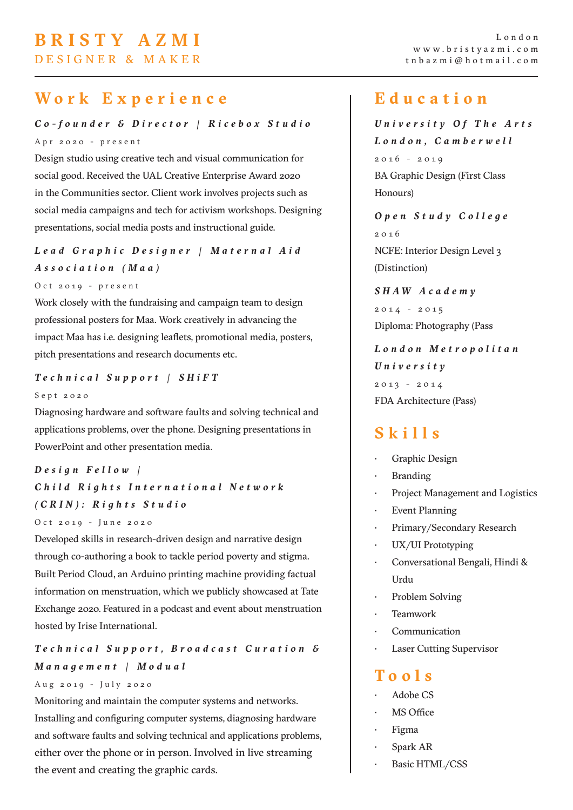# **BRISTY AZMI**

DESIGNER & MAKER

# **Work Experience**

*Co-founder & Director | Ricebox Studio* Apr 2020 - present

Design studio using creative tech and visual communication for social good. Received the UAL Creative Enterprise Award 2020 in the Communities sector. Client work involves projects such as social media campaigns and tech for activism workshops. Designing presentations, social media posts and instructional guide.

*L e a d G r a p h i c D e s i g n e r | M a t e r n a l A i d Association (Maa)*

Oct 2019 - present

Work closely with the fundraising and campaign team to design professional posters for Maa. Work creatively in advancing the impact Maa has i.e. designing leaflets, promotional media, posters, pitch presentations and research documents etc.

#### *Technical Support | SHiFT*

#### Sept 2020

Diagnosing hardware and software faults and solving technical and applications problems, over the phone. Designing presentations in PowerPoint and other presentation media.

### *D e s i g n F e l l o w | C h i l d R i g h t s I n t e r n a t i o n a l N e t w o r k (CRIN): Rights Studio*

Oct 2019 - June 2020

Developed skills in research-driven design and narrative design through co-authoring a book to tackle period poverty and stigma. Built Period Cloud, an Arduino printing machine providing factual information on menstruation, which we publicly showcased at Tate Exchange 2020. Featured in a podcast and event about menstruation hosted by Irise International.

### *T e c h n i c a l S u p p o r t , B r o a d c a s t C u r a t i o n & Management | Modual*

#### Aug 2019 - July 2020

Monitoring and maintain the computer systems and networks. Installing and configuring computer systems, diagnosing hardware and software faults and solving technical and applications problems, either over the phone or in person. Involved in live streaming the event and creating the graphic cards.

## **Education**

*U n i v e r s i t y O f T h e A r t s London, Camberwell* 2016 - 2019 BA Graphic Design (First Class Honours)

*O p e n S t u d y C o l l e g e*  2 0 1 6 NCFE: Interior Design Level 3 (Distinction)

*SHAW Academy* 2014 - 2015 Diploma: Photography (Pass

*L o n d o n M e t r o p o l i t a n University*  $2013 - 2014$ FDA Architecture (Pass)

# **Skills**

- Graphic Design
- **Branding**
- Project Management and Logistics
- **Event Planning**
- Primary/Secondary Research
- UX/UI Prototyping
- Conversational Bengali, Hindi & Urdu
- Problem Solving
- Teamwork
- **Communication**
- Laser Cutting Supervisor

# **Tools**

- Adobe CS
- MS Office
- Figma
- Spark AR
- Basic HTML/CSS